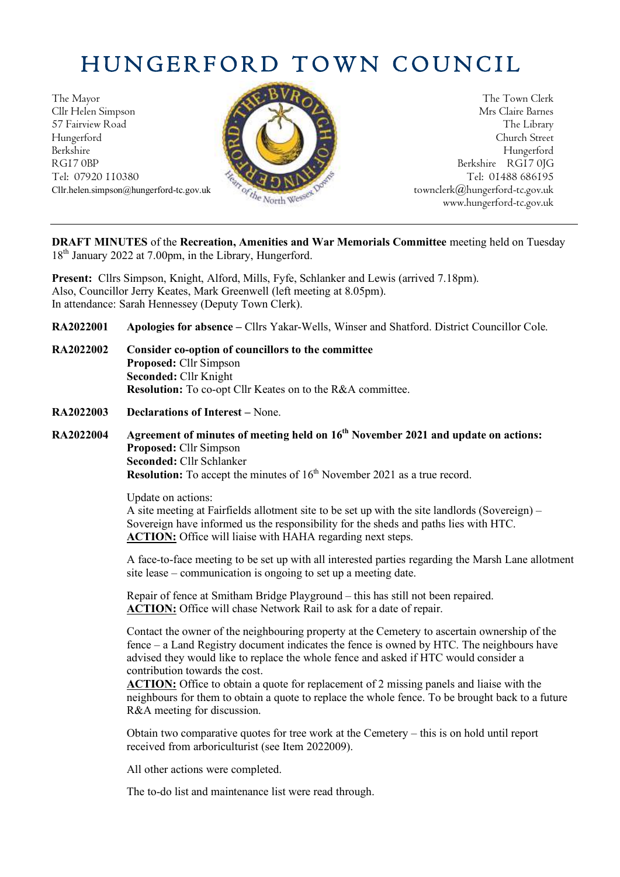# HUNGERFORD TOWN COUNCIL

The Mayor The Town Clerk Cllr Helen Simpson Mrs Claire Barnes 57 Fairview Road The Library (2008) The Library Hungerford Church Street Berkshire Hungerford RG17 0BP Berkshire RG17 0JG Tel: 07920 110380 **Tel: 07920 110380** Tel: 01488 686195



Cllr.helen.simpson@hungerford-tc.gov.uk [townclerk@hungerford-tc.gov.uk](mailto:townclerk@hungerford-tc.gov.uk) townclerk@hungerford-tc.gov.uk www.hungerford-tc.gov.uk www.hungerford-tc.gov.uk

**DRAFT MINUTES** of the **Recreation, Amenities and War Memorials Committee** meeting held on Tuesday 18<sup>th</sup> January 2022 at 7.00pm, in the Library, Hungerford.

**Present:** Cllrs Simpson, Knight, Alford, Mills, Fyfe, Schlanker and Lewis (arrived 7.18pm). Also, Councillor Jerry Keates, Mark Greenwell (left meeting at 8.05pm). In attendance: Sarah Hennessey (Deputy Town Clerk).

**RA2022001 Apologies for absence –** Cllrs Yakar-Wells, Winser and Shatford. District Councillor Cole.

- **RA2022002 Consider co-option of councillors to the committee Proposed:** Cllr Simpson **Seconded:** Cllr Knight **Resolution:** To co-opt Cllr Keates on to the R&A committee.
- **RA2022003 Declarations of Interest –** None.
- **RA2022004 Agreement of minutes of meeting held on 16th November 2021 and update on actions: Proposed:** Cllr Simpson **Seconded:** Cllr Schlanker **Resolution:** To accept the minutes of 16<sup>th</sup> November 2021 as a true record.

Update on actions: A site meeting at Fairfields allotment site to be set up with the site landlords (Sovereign) – Sovereign have informed us the responsibility for the sheds and paths lies with HTC. **ACTION:** Office will liaise with HAHA regarding next steps.

A face-to-face meeting to be set up with all interested parties regarding the Marsh Lane allotment site lease – communication is ongoing to set up a meeting date.

Repair of fence at Smitham Bridge Playground – this has still not been repaired. **ACTION:** Office will chase Network Rail to ask for a date of repair.

Contact the owner of the neighbouring property at the Cemetery to ascertain ownership of the fence – a Land Registry document indicates the fence is owned by HTC. The neighbours have advised they would like to replace the whole fence and asked if HTC would consider a contribution towards the cost.

**ACTION:** Office to obtain a quote for replacement of 2 missing panels and liaise with the neighbours for them to obtain a quote to replace the whole fence. To be brought back to a future R&A meeting for discussion.

Obtain two comparative quotes for tree work at the Cemetery – this is on hold until report received from arboriculturist (see Item 2022009).

All other actions were completed.

The to-do list and maintenance list were read through.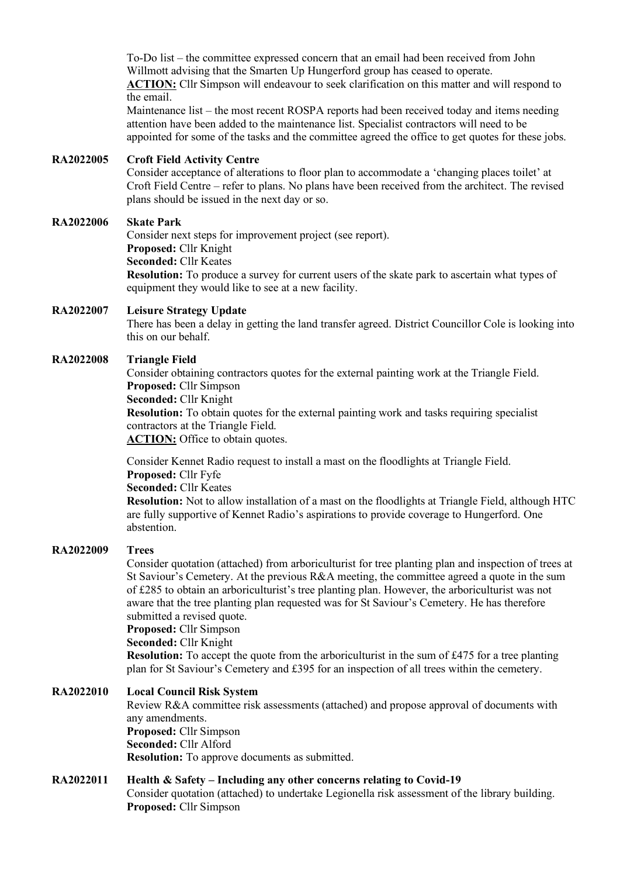To-Do list – the committee expressed concern that an email had been received from John Willmott advising that the Smarten Up Hungerford group has ceased to operate. **ACTION:** Cllr Simpson will endeavour to seek clarification on this matter and will respond to the email.

Maintenance list – the most recent ROSPA reports had been received today and items needing attention have been added to the maintenance list. Specialist contractors will need to be appointed for some of the tasks and the committee agreed the office to get quotes for these jobs.

## **RA2022005 Croft Field Activity Centre**

Consider acceptance of alterations to floor plan to accommodate a 'changing places toilet' at Croft Field Centre – refer to plans. No plans have been received from the architect. The revised plans should be issued in the next day or so.

#### **RA2022006 Skate Park**

Consider next steps for improvement project (see report). **Proposed:** Cllr Knight **Seconded:** Cllr Keates **Resolution:** To produce a survey for current users of the skate park to ascertain what types of equipment they would like to see at a new facility.

#### **RA2022007 Leisure Strategy Update**

There has been a delay in getting the land transfer agreed. District Councillor Cole is looking into this on our behalf.

### **RA2022008 Triangle Field**

Consider obtaining contractors quotes for the external painting work at the Triangle Field. **Proposed:** Cllr Simpson **Seconded:** Cllr Knight **Resolution:** To obtain quotes for the external painting work and tasks requiring specialist contractors at the Triangle Field. **ACTION:** Office to obtain quotes.

Consider Kennet Radio request to install a mast on the floodlights at Triangle Field. **Proposed:** Cllr Fyfe

#### **Seconded:** Cllr Keates

**Resolution:** Not to allow installation of a mast on the floodlights at Triangle Field, although HTC are fully supportive of Kennet Radio's aspirations to provide coverage to Hungerford. One abstention.

#### **RA2022009 Trees**

Consider quotation (attached) from arboriculturist for tree planting plan and inspection of trees at St Saviour's Cemetery. At the previous R&A meeting, the committee agreed a quote in the sum of £285 to obtain an arboriculturist's tree planting plan. However, the arboriculturist was not aware that the tree planting plan requested was for St Saviour's Cemetery. He has therefore submitted a revised quote.

**Proposed:** Cllr Simpson

**Seconded:** Cllr Knight

**Resolution:** To accept the quote from the arboriculturist in the sum of £475 for a tree planting plan for St Saviour's Cemetery and £395 for an inspection of all trees within the cemetery.

## **RA2022010 Local Council Risk System**

Review R&A committee risk assessments (attached) and propose approval of documents with any amendments. **Proposed:** Cllr Simpson **Seconded:** Cllr Alford **Resolution:** To approve documents as submitted.

## **RA2022011 Health & Safety – Including any other concerns relating to Covid-19**

Consider quotation (attached) to undertake Legionella risk assessment of the library building. **Proposed:** Cllr Simpson